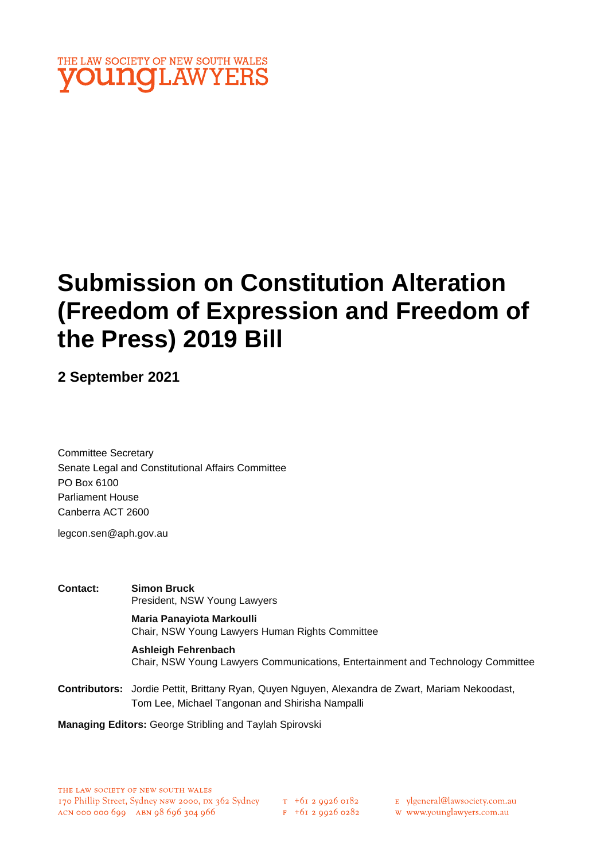

# **Submission on Constitution Alteration (Freedom of Expression and Freedom of the Press) 2019 Bill**

**2 September 2021**

Committee Secretary Senate Legal and Constitutional Affairs Committee PO Box 6100 Parliament House Canberra ACT 2600

legcon.sen@aph.gov.au

**Contact: Simon Bruck** President, NSW Young Lawyers **Maria Panayiota Markoulli** Chair, NSW Young Lawyers Human Rights Committee **Ashleigh Fehrenbach** Chair, NSW Young Lawyers Communications, Entertainment and Technology Committee **Contributors:** Jordie Pettit, Brittany Ryan, Quyen Nguyen, Alexandra de Zwart, Mariam Nekoodast, Tom Lee, Michael Tangonan and Shirisha Nampalli

**Managing Editors:** George Stribling and Taylah Spirovski

 $T_{+61}$  2 9926 0182  $F + 6I$  2 9926 0282 E ylgeneral@lawsociety.com.au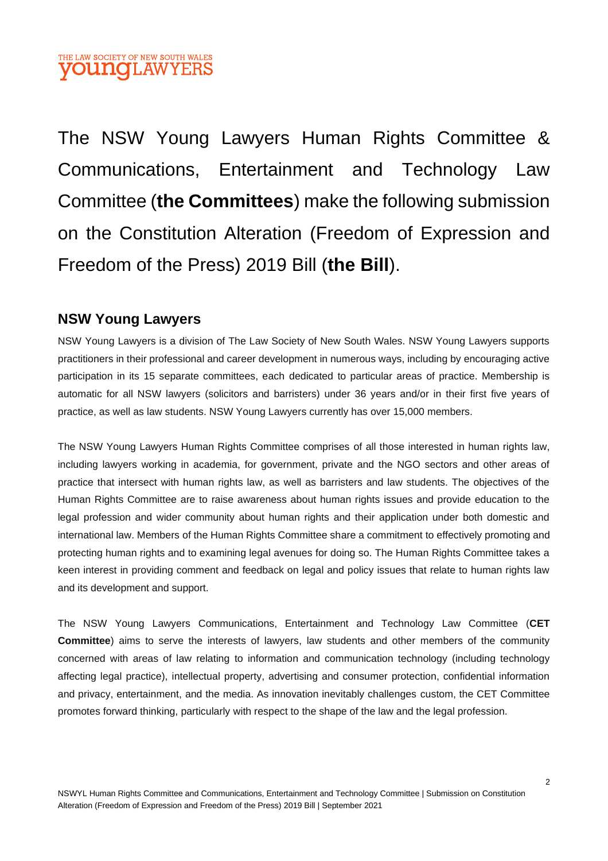The NSW Young Lawyers Human Rights Committee & Communications, Entertainment and Technology Law Committee (**the Committees**) make the following submission on the Constitution Alteration (Freedom of Expression and Freedom of the Press) 2019 Bill (**the Bill**).

# **NSW Young Lawyers**

NSW Young Lawyers is a division of The Law Society of New South Wales. NSW Young Lawyers supports practitioners in their professional and career development in numerous ways, including by encouraging active participation in its 15 separate committees, each dedicated to particular areas of practice. Membership is automatic for all NSW lawyers (solicitors and barristers) under 36 years and/or in their first five years of practice, as well as law students. NSW Young Lawyers currently has over 15,000 members.

The NSW Young Lawyers Human Rights Committee comprises of all those interested in human rights law, including lawyers working in academia, for government, private and the NGO sectors and other areas of practice that intersect with human rights law, as well as barristers and law students. The objectives of the Human Rights Committee are to raise awareness about human rights issues and provide education to the legal profession and wider community about human rights and their application under both domestic and international law. Members of the Human Rights Committee share a commitment to effectively promoting and protecting human rights and to examining legal avenues for doing so. The Human Rights Committee takes a keen interest in providing comment and feedback on legal and policy issues that relate to human rights law and its development and support.

The NSW Young Lawyers Communications, Entertainment and Technology Law Committee (**CET Committee**) aims to serve the interests of lawyers, law students and other members of the community concerned with areas of law relating to information and communication technology (including technology affecting legal practice), intellectual property, advertising and consumer protection, confidential information and privacy, entertainment, and the media. As innovation inevitably challenges custom, the CET Committee promotes forward thinking, particularly with respect to the shape of the law and the legal profession.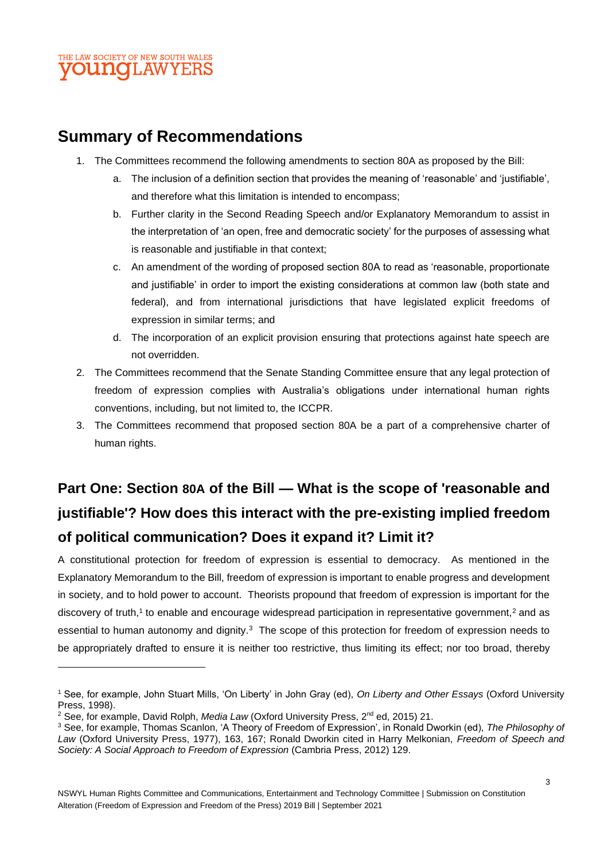# **Summary of Recommendations**

- 1. The Committees recommend the following amendments to section 80A as proposed by the Bill:
	- a. The inclusion of a definition section that provides the meaning of 'reasonable' and 'justifiable', and therefore what this limitation is intended to encompass;
	- b. Further clarity in the Second Reading Speech and/or Explanatory Memorandum to assist in the interpretation of 'an open, free and democratic society' for the purposes of assessing what is reasonable and justifiable in that context;
	- c. An amendment of the wording of proposed section 80A to read as 'reasonable, proportionate and justifiable' in order to import the existing considerations at common law (both state and federal), and from international jurisdictions that have legislated explicit freedoms of expression in similar terms; and
	- d. The incorporation of an explicit provision ensuring that protections against hate speech are not overridden.
- 2. The Committees recommend that the Senate Standing Committee ensure that any legal protection of freedom of expression complies with Australia's obligations under international human rights conventions, including, but not limited to, the ICCPR.
- 3. The Committees recommend that proposed section 80A be a part of a comprehensive charter of human rights.

# **Part One: Section 80A of the Bill — What is the scope of 'reasonable and justifiable'? How does this interact with the pre-existing implied freedom of political communication? Does it expand it? Limit it?**

A constitutional protection for freedom of expression is essential to democracy. As mentioned in the Explanatory Memorandum to the Bill, freedom of expression is important to enable progress and development in society, and to hold power to account. Theorists propound that freedom of expression is important for the discovery of truth,<sup>1</sup> to enable and encourage widespread participation in representative government,<sup>2</sup> and as essential to human autonomy and dignity.<sup>3</sup> The scope of this protection for freedom of expression needs to be appropriately drafted to ensure it is neither too restrictive, thus limiting its effect; nor too broad, thereby

<sup>1</sup> See, for example, John Stuart Mills, 'On Liberty' in John Gray (ed), *On Liberty and Other Essays* (Oxford University Press, 1998).

<sup>&</sup>lt;sup>2</sup> See, for example, David Rolph, *Media Law* (Oxford University Press, 2<sup>nd</sup> ed, 2015) 21.

<sup>3</sup> See, for example, Thomas Scanlon, 'A Theory of Freedom of Expression', in Ronald Dworkin (ed), *The Philosophy of Law* (Oxford University Press, 1977), 163, 167; Ronald Dworkin cited in Harry Melkonian, *Freedom of Speech and Society: A Social Approach to Freedom of Expression* (Cambria Press, 2012) 129.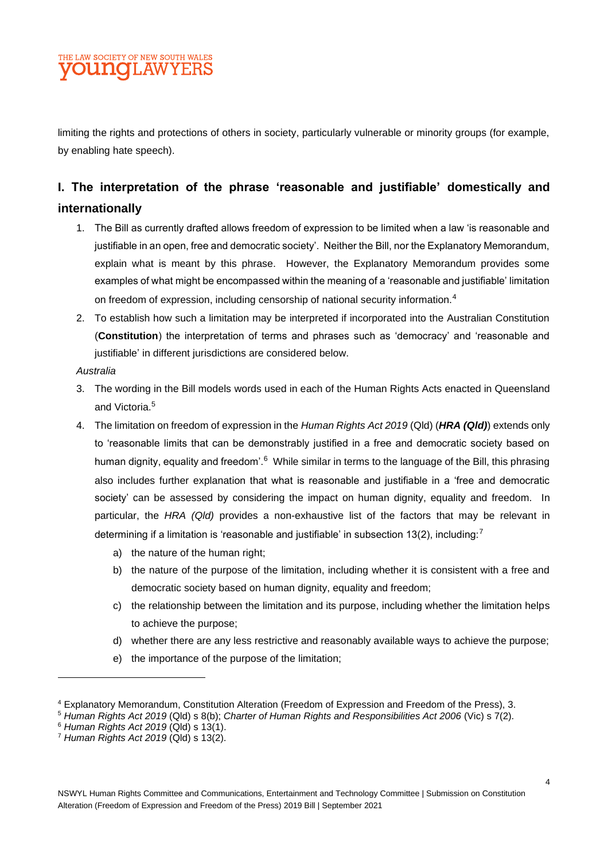

limiting the rights and protections of others in society, particularly vulnerable or minority groups (for example, by enabling hate speech).

# **I. The interpretation of the phrase 'reasonable and justifiable' domestically and internationally**

- 1. The Bill as currently drafted allows freedom of expression to be limited when a law 'is reasonable and justifiable in an open, free and democratic society'. Neither the Bill, nor the Explanatory Memorandum, explain what is meant by this phrase. However, the Explanatory Memorandum provides some examples of what might be encompassed within the meaning of a 'reasonable and justifiable' limitation on freedom of expression, including censorship of national security information.<sup>4</sup>
- 2. To establish how such a limitation may be interpreted if incorporated into the Australian Constitution (**Constitution**) the interpretation of terms and phrases such as 'democracy' and 'reasonable and justifiable' in different jurisdictions are considered below.

#### *Australia*

- 3. The wording in the Bill models words used in each of the Human Rights Acts enacted in Queensland and Victoria.<sup>5</sup>
- 4. The limitation on freedom of expression in the *Human Rights Act 2019* (Qld) (*HRA (Qld)*) extends only to 'reasonable limits that can be demonstrably justified in a free and democratic society based on human dignity, equality and freedom'.<sup>6</sup> While similar in terms to the language of the Bill, this phrasing also includes further explanation that what is reasonable and justifiable in a 'free and democratic society' can be assessed by considering the impact on human dignity, equality and freedom. In particular, the *HRA (Qld)* provides a non-exhaustive list of the factors that may be relevant in determining if a limitation is 'reasonable and justifiable' in subsection 13(2), including:<sup>7</sup>
	- a) the nature of the human right;
	- b) the nature of the purpose of the limitation, including whether it is consistent with a free and democratic society based on human dignity, equality and freedom;
	- c) the relationship between the limitation and its purpose, including whether the limitation helps to achieve the purpose;
	- d) whether there are any less restrictive and reasonably available ways to achieve the purpose;
	- e) the importance of the purpose of the limitation;

<sup>4</sup> Explanatory Memorandum, Constitution Alteration (Freedom of Expression and Freedom of the Press), 3.

<sup>5</sup> *Human Rights Act 2019* (Qld) s 8(b); *Charter of Human Rights and Responsibilities Act 2006* (Vic) s 7(2).

<sup>6</sup> *Human Rights Act 2019* (Qld) s 13(1).

<sup>7</sup> *Human Rights Act 2019* (Qld) s 13(2).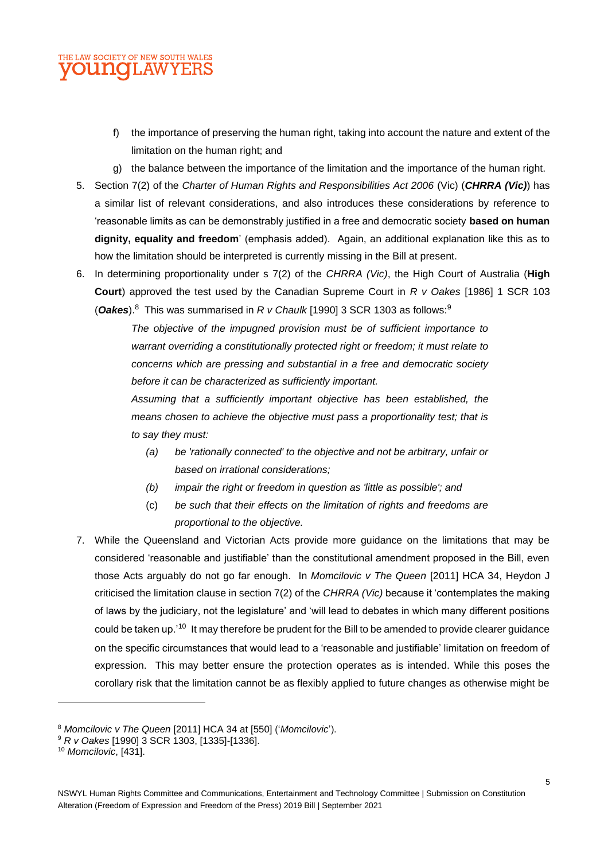

- f) the importance of preserving the human right, taking into account the nature and extent of the limitation on the human right; and
- g) the balance between the importance of the limitation and the importance of the human right.
- 5. Section 7(2) of the *Charter of Human Rights and Responsibilities Act 2006* (Vic) (*CHRRA (Vic)*) has a similar list of relevant considerations, and also introduces these considerations by reference to 'reasonable limits as can be demonstrably justified in a free and democratic society **based on human dignity, equality and freedom**' (emphasis added). Again, an additional explanation like this as to how the limitation should be interpreted is currently missing in the Bill at present.
- 6. In determining proportionality under s 7(2) of the *CHRRA (Vic)*, the High Court of Australia (**High Court**) approved the test used by the Canadian Supreme Court in *R v Oakes* [1986] 1 SCR 103 (*Oakes*). 8 This was summarised in *R v Chaulk* [1990] 3 SCR 1303 as follows:<sup>9</sup>

*The objective of the impugned provision must be of sufficient importance to warrant overriding a constitutionally protected right or freedom; it must relate to concerns which are pressing and substantial in a free and democratic society before it can be characterized as sufficiently important.*

*Assuming that a sufficiently important objective has been established, the means chosen to achieve the objective must pass a proportionality test; that is to say they must:*

- *(a) be 'rationally connected' to the objective and not be arbitrary, unfair or based on irrational considerations;*
- *(b) impair the right or freedom in question as 'little as possible'; and*
- (c) *be such that their effects on the limitation of rights and freedoms are proportional to the objective.*
- 7. While the Queensland and Victorian Acts provide more guidance on the limitations that may be considered 'reasonable and justifiable' than the constitutional amendment proposed in the Bill, even those Acts arguably do not go far enough. In *Momcilovic v The Queen* [2011] HCA 34, Heydon J criticised the limitation clause in section 7(2) of the *CHRRA (Vic)* because it 'contemplates the making of laws by the judiciary, not the legislature' and 'will lead to debates in which many different positions could be taken up.'<sup>10</sup> It may therefore be prudent for the Bill to be amended to provide clearer guidance on the specific circumstances that would lead to a 'reasonable and justifiable' limitation on freedom of expression. This may better ensure the protection operates as is intended. While this poses the corollary risk that the limitation cannot be as flexibly applied to future changes as otherwise might be

<sup>8</sup> *Momcilovic v The Queen* [2011] HCA 34 at [550] ('*Momcilovic*').

<sup>9</sup> *R v Oakes* [1990] 3 SCR 1303, [1335]-[1336].

<sup>10</sup> *Momcilovic*, [431].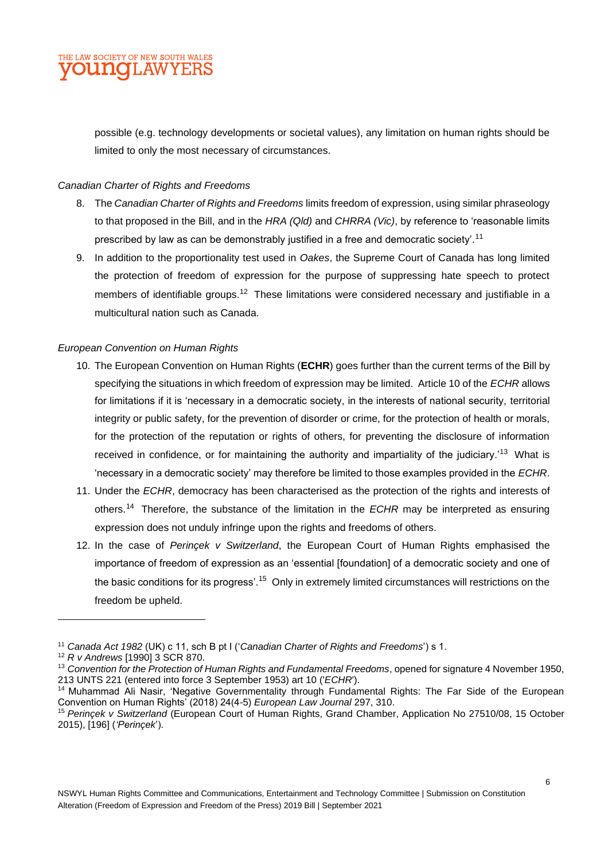

possible (e.g. technology developments or societal values), any limitation on human rights should be limited to only the most necessary of circumstances.

#### *Canadian Charter of Rights and Freedoms*

- 8. The *Canadian Charter of Rights and Freedoms* limits freedom of expression, using similar phraseology to that proposed in the Bill, and in the *HRA (Qld)* and *CHRRA (Vic)*, by reference to 'reasonable limits prescribed by law as can be demonstrably justified in a free and democratic society'.<sup>11</sup>
- 9. In addition to the proportionality test used in *Oakes*, the Supreme Court of Canada has long limited the protection of freedom of expression for the purpose of suppressing hate speech to protect members of identifiable groups.<sup>12</sup> These limitations were considered necessary and justifiable in a multicultural nation such as Canada.

#### *European Convention on Human Rights*

- 10. The European Convention on Human Rights (**ECHR**) goes further than the current terms of the Bill by specifying the situations in which freedom of expression may be limited. Article 10 of the *ECHR* allows for limitations if it is 'necessary in a democratic society, in the interests of national security, territorial integrity or public safety, for the prevention of disorder or crime, for the protection of health or morals, for the protection of the reputation or rights of others, for preventing the disclosure of information received in confidence, or for maintaining the authority and impartiality of the judiciary.'<sup>13</sup> What is 'necessary in a democratic society' may therefore be limited to those examples provided in the *ECHR*.
- 11. Under the *ECHR*, democracy has been characterised as the protection of the rights and interests of others.<sup>14</sup> Therefore, the substance of the limitation in the *ECHR* may be interpreted as ensuring expression does not unduly infringe upon the rights and freedoms of others.
- 12. In the case of *Perinçek v Switzerland*, the European Court of Human Rights emphasised the importance of freedom of expression as an 'essential [foundation] of a democratic society and one of the basic conditions for its progress'.<sup>15</sup> Only in extremely limited circumstances will restrictions on the freedom be upheld.

<sup>11</sup> *Canada Act 1982* (UK) c 11, sch B pt I ('*Canadian Charter of Rights and Freedoms*') s 1.

<sup>12</sup> *R v Andrews* [1990] 3 SCR 870.

<sup>13</sup> *Convention for the Protection of Human Rights and Fundamental Freedoms*, opened for signature 4 November 1950, 213 UNTS 221 (entered into force 3 September 1953) art 10 ('*ECHR*').

<sup>14</sup> Muhammad Ali Nasir, 'Negative Governmentality through Fundamental Rights: The Far Side of the European Convention on Human Rights' (2018) 24(4-5) *European Law Journal* 297, 310.

<sup>15</sup> *Perinçek v Switzerland* (European Court of Human Rights, Grand Chamber, Application No 27510/08, 15 October 2015), [196] (*'Perinçek*').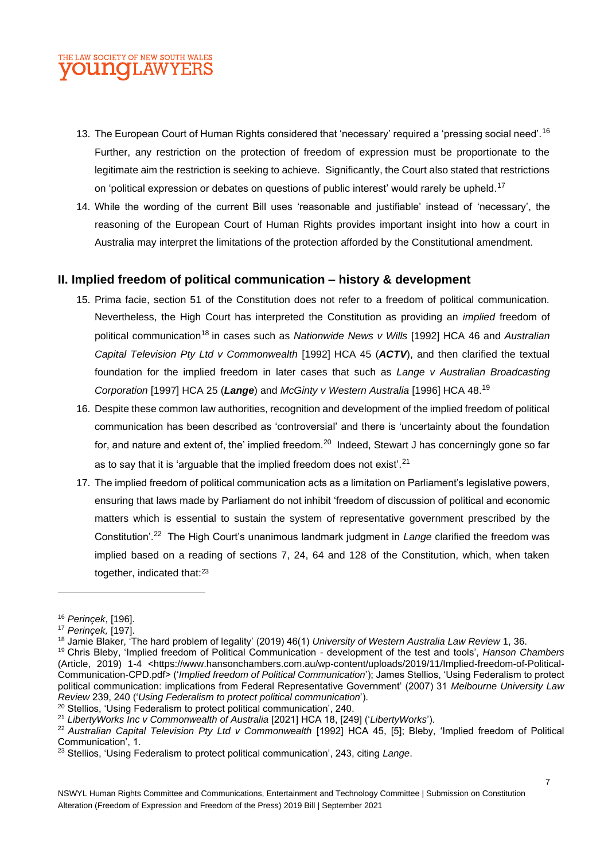

- 13. The European Court of Human Rights considered that 'necessary' required a 'pressing social need'.<sup>16</sup> Further, any restriction on the protection of freedom of expression must be proportionate to the legitimate aim the restriction is seeking to achieve. Significantly, the Court also stated that restrictions on 'political expression or debates on questions of public interest' would rarely be upheld.<sup>17</sup>
- 14. While the wording of the current Bill uses 'reasonable and justifiable' instead of 'necessary', the reasoning of the European Court of Human Rights provides important insight into how a court in Australia may interpret the limitations of the protection afforded by the Constitutional amendment.

#### **II. Implied freedom of political communication – history & development**

- 15. Prima facie, section 51 of the Constitution does not refer to a freedom of political communication. Nevertheless, the High Court has interpreted the Constitution as providing an *implied* freedom of political communication<sup>18</sup> in cases such as *Nationwide News v Wills* [1992] HCA 46 and *Australian Capital Television Pty Ltd v Commonwealth* [1992] HCA 45 (ACTV), and then clarified the textual foundation for the implied freedom in later cases that such as *Lange v Australian Broadcasting Corporation* [1997] HCA 25 (*Lange*) and *McGinty v Western Australia* [1996] HCA 48.<sup>19</sup>
- 16. Despite these common law authorities, recognition and development of the implied freedom of political communication has been described as 'controversial' and there is 'uncertainty about the foundation for, and nature and extent of, the' implied freedom. $^{20}\,$  Indeed, Stewart J has concerningly gone so far as to say that it is 'arguable that the implied freedom does not exist'. $21$
- 17. The implied freedom of political communication acts as a limitation on Parliament's legislative powers, ensuring that laws made by Parliament do not inhibit 'freedom of discussion of political and economic matters which is essential to sustain the system of representative government prescribed by the Constitution'. 22 The High Court's unanimous landmark judgment in *Lange* clarified the freedom was implied based on a reading of sections 7, 24, 64 and 128 of the Constitution, which, when taken together, indicated that:<sup>23</sup>

<sup>16</sup> *Perinçek*, [196].

<sup>17</sup> *Perinçek,* [197].

<sup>18</sup> Jamie Blaker, 'The hard problem of legality' (2019) 46(1) *University of Western Australia Law Review* 1, 36.

<sup>19</sup> Chris Bleby, 'Implied freedom of Political Communication - development of the test and tools', *Hanson Chambers* (Article, 2019) 1-4 <https://www.hansonchambers.com.au/wp-content/uploads/2019/11/Implied-freedom-of-Political-Communication-CPD.pdf> ('*Implied freedom of Political Communication*'); James Stellios, 'Using Federalism to protect political communication: implications from Federal Representative Government' (2007) 31 *Melbourne University Law Review* 239, 240 ('*Using Federalism to protect political communication*').

<sup>&</sup>lt;sup>20</sup> Stellios, 'Using Federalism to protect political communication', 240.

<sup>21</sup> *LibertyWorks Inc v Commonwealth of Australia* [2021] HCA 18, [249] ('*LibertyWorks*').

<sup>22</sup> *Australian Capital Television Pty Ltd v Commonwealth* [1992] HCA 45, [5]; Bleby, 'Implied freedom of Political Communication', 1.

<sup>23</sup> Stellios, 'Using Federalism to protect political communication', 243, citing *Lange*.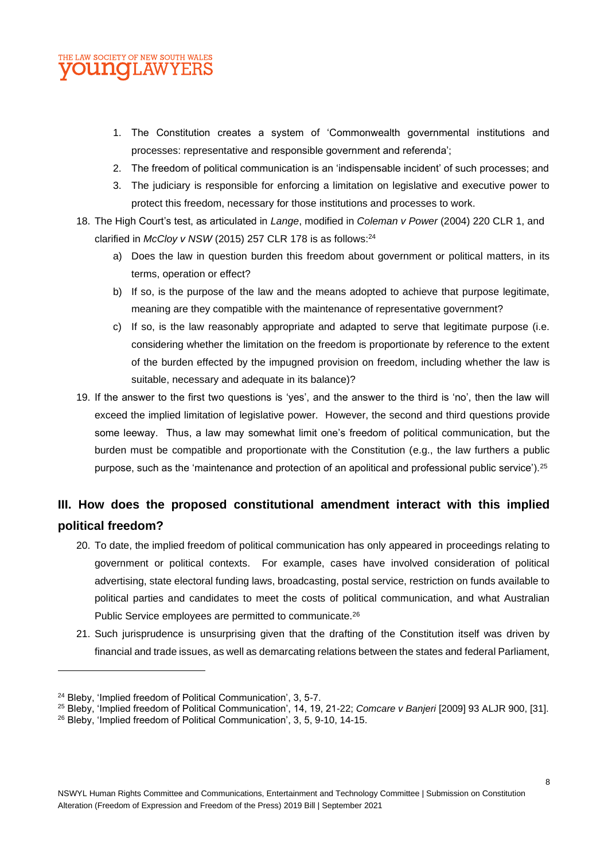

- 1. The Constitution creates a system of 'Commonwealth governmental institutions and processes: representative and responsible government and referenda';
- 2. The freedom of political communication is an 'indispensable incident' of such processes; and
- 3. The judiciary is responsible for enforcing a limitation on legislative and executive power to protect this freedom, necessary for those institutions and processes to work.
- 18. The High Court's test, as articulated in *Lange*, modified in *Coleman v Power* (2004) 220 CLR 1, and clarified in *McCloy v NSW* (2015) 257 CLR 178 is as follows: 24
	- a) Does the law in question burden this freedom about government or political matters, in its terms, operation or effect?
	- b) If so, is the purpose of the law and the means adopted to achieve that purpose legitimate, meaning are they compatible with the maintenance of representative government?
	- c) If so, is the law reasonably appropriate and adapted to serve that legitimate purpose (i.e. considering whether the limitation on the freedom is proportionate by reference to the extent of the burden effected by the impugned provision on freedom, including whether the law is suitable, necessary and adequate in its balance)?
- 19. If the answer to the first two questions is 'yes', and the answer to the third is 'no', then the law will exceed the implied limitation of legislative power. However, the second and third questions provide some leeway. Thus, a law may somewhat limit one's freedom of political communication, but the burden must be compatible and proportionate with the Constitution (e.g., the law furthers a public purpose, such as the 'maintenance and protection of an apolitical and professional public service').<sup>25</sup>

# **III. How does the proposed constitutional amendment interact with this implied political freedom?**

- 20. To date, the implied freedom of political communication has only appeared in proceedings relating to government or political contexts. For example, cases have involved consideration of political advertising, state electoral funding laws, broadcasting, postal service, restriction on funds available to political parties and candidates to meet the costs of political communication, and what Australian Public Service employees are permitted to communicate.<sup>26</sup>
- 21. Such jurisprudence is unsurprising given that the drafting of the Constitution itself was driven by financial and trade issues, as well as demarcating relations between the states and federal Parliament,

<sup>&</sup>lt;sup>24</sup> Bleby, 'Implied freedom of Political Communication', 3, 5-7.

<sup>25</sup> Bleby, 'Implied freedom of Political Communication', 14, 19, 21-22; *Comcare v Banjeri* [2009] 93 ALJR 900, [31].

<sup>26</sup> Bleby, 'Implied freedom of Political Communication', 3, 5, 9-10, 14-15.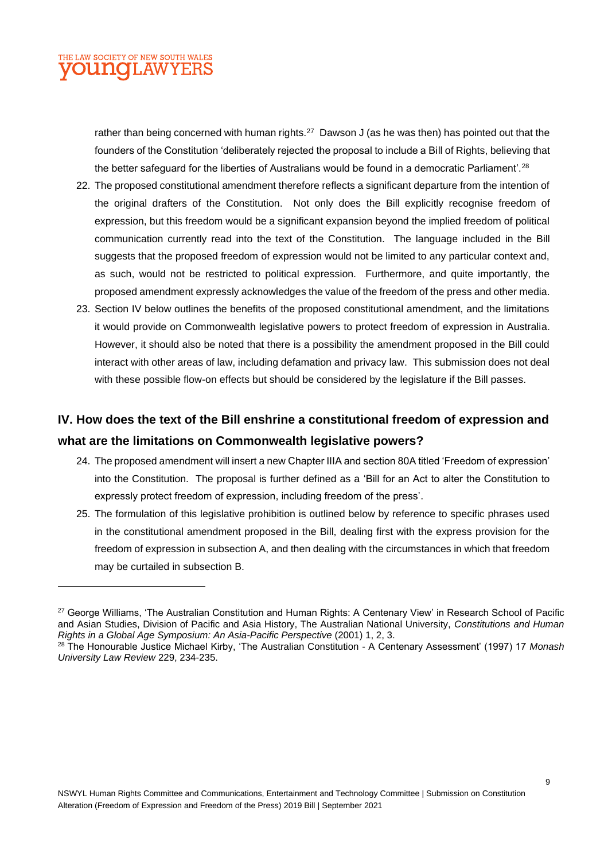

rather than being concerned with human rights. $^{27}$  Dawson J (as he was then) has pointed out that the founders of the Constitution 'deliberately rejected the proposal to include a Bill of Rights, believing that the better safeguard for the liberties of Australians would be found in a democratic Parliament'.<sup>28</sup>

- 22. The proposed constitutional amendment therefore reflects a significant departure from the intention of the original drafters of the Constitution. Not only does the Bill explicitly recognise freedom of expression, but this freedom would be a significant expansion beyond the implied freedom of political communication currently read into the text of the Constitution. The language included in the Bill suggests that the proposed freedom of expression would not be limited to any particular context and, as such, would not be restricted to political expression. Furthermore, and quite importantly, the proposed amendment expressly acknowledges the value of the freedom of the press and other media.
- 23. Section IV below outlines the benefits of the proposed constitutional amendment, and the limitations it would provide on Commonwealth legislative powers to protect freedom of expression in Australia. However, it should also be noted that there is a possibility the amendment proposed in the Bill could interact with other areas of law, including defamation and privacy law. This submission does not deal with these possible flow-on effects but should be considered by the legislature if the Bill passes.

# **IV. How does the text of the Bill enshrine a constitutional freedom of expression and what are the limitations on Commonwealth legislative powers?**

- 24. The proposed amendment will insert a new Chapter IIIA and section 80A titled 'Freedom of expression' into the Constitution. The proposal is further defined as a 'Bill for an Act to alter the Constitution to expressly protect freedom of expression, including freedom of the press'.
- 25. The formulation of this legislative prohibition is outlined below by reference to specific phrases used in the constitutional amendment proposed in the Bill, dealing first with the express provision for the freedom of expression in subsection A, and then dealing with the circumstances in which that freedom may be curtailed in subsection B.

<sup>&</sup>lt;sup>27</sup> George Williams, 'The Australian Constitution and Human Rights: A Centenary View' in Research School of Pacific and Asian Studies, Division of Pacific and Asia History, The Australian National University, *Constitutions and Human Rights in a Global Age Symposium: An Asia-Pacific Perspective* (2001) 1, 2, 3.

<sup>28</sup> The Honourable Justice Michael Kirby, 'The Australian Constitution - A Centenary Assessment' (1997) 17 *Monash University Law Review* 229, 234-235.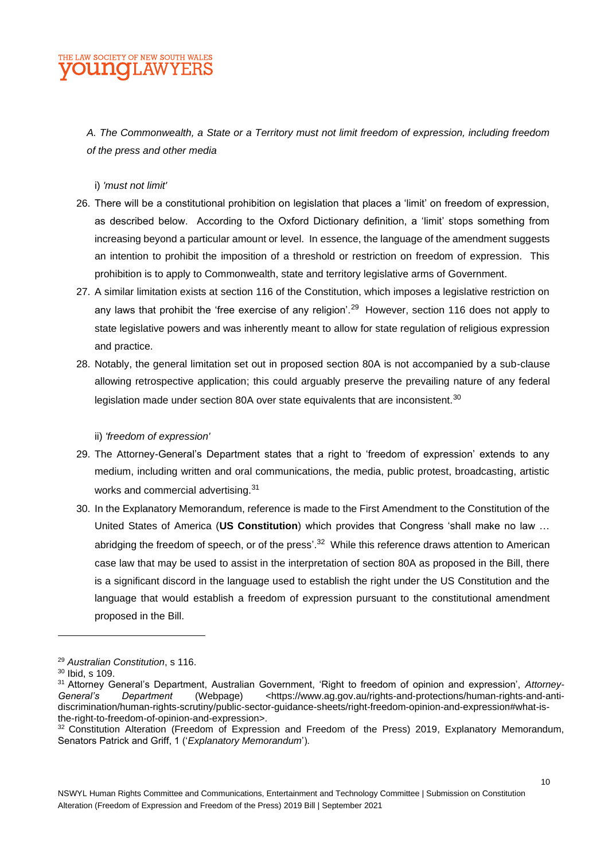

*A. The Commonwealth, a State or a Territory must not limit freedom of expression, including freedom of the press and other media*

i) *'must not limit'*

- 26. There will be a constitutional prohibition on legislation that places a 'limit' on freedom of expression, as described below. According to the Oxford Dictionary definition, a 'limit' stops something from increasing beyond a particular amount or level. In essence, the language of the amendment suggests an intention to prohibit the imposition of a threshold or restriction on freedom of expression. This prohibition is to apply to Commonwealth, state and territory legislative arms of Government.
- 27. A similar limitation exists at section 116 of the Constitution, which imposes a legislative restriction on any laws that prohibit the 'free exercise of any religion'.<sup>29</sup> However, section 116 does not apply to state legislative powers and was inherently meant to allow for state regulation of religious expression and practice.
- 28. Notably, the general limitation set out in proposed section 80A is not accompanied by a sub-clause allowing retrospective application; this could arguably preserve the prevailing nature of any federal legislation made under section 80A over state equivalents that are inconsistent.<sup>30</sup>

ii) *'freedom of expression'*

- 29. The Attorney-General's Department states that a right to 'freedom of expression' extends to any medium, including written and oral communications, the media, public protest, broadcasting, artistic works and commercial advertising.<sup>31</sup>
- 30. In the Explanatory Memorandum, reference is made to the First Amendment to the Constitution of the United States of America (**US Constitution**) which provides that Congress 'shall make no law … abridging the freedom of speech, or of the press'.<sup>32</sup> While this reference draws attention to American case law that may be used to assist in the interpretation of section 80A as proposed in the Bill, there is a significant discord in the language used to establish the right under the US Constitution and the language that would establish a freedom of expression pursuant to the constitutional amendment proposed in the Bill.

<sup>29</sup> *Australian Constitution*, s 116.

<sup>30</sup> Ibid, s 109.

<sup>31</sup> Attorney General's Department, Australian Government, 'Right to freedom of opinion and expression', *Attorney-*General's Department (Webpage) <https://www.ag.gov.au/rights-and-protections/human-rights-and-antidiscrimination/human-rights-scrutiny/public-sector-guidance-sheets/right-freedom-opinion-and-expression#what-isthe-right-to-freedom-of-opinion-and-expression>.

<sup>32</sup> Constitution Alteration (Freedom of Expression and Freedom of the Press) 2019, Explanatory Memorandum, Senators Patrick and Griff, 1 ('*Explanatory Memorandum*').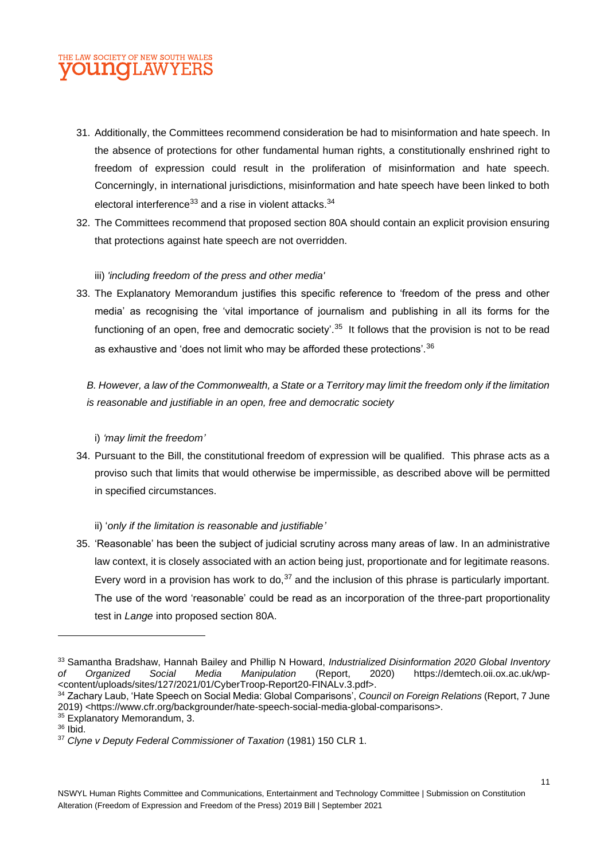

- 31. Additionally, the Committees recommend consideration be had to misinformation and hate speech. In the absence of protections for other fundamental human rights, a constitutionally enshrined right to freedom of expression could result in the proliferation of misinformation and hate speech. Concerningly, in international jurisdictions, misinformation and hate speech have been linked to both electoral interference<sup>33</sup> and a rise in violent attacks.<sup>34</sup>
- 32. The Committees recommend that proposed section 80A should contain an explicit provision ensuring that protections against hate speech are not overridden.

#### iii) *'including freedom of the press and other media'*

33. The Explanatory Memorandum justifies this specific reference to 'freedom of the press and other media' as recognising the 'vital importance of journalism and publishing in all its forms for the functioning of an open, free and democratic society'.<sup>35</sup> It follows that the provision is not to be read as exhaustive and 'does not limit who may be afforded these protections'.<sup>36</sup>

*B. However, a law of the Commonwealth, a State or a Territory may limit the freedom only if the limitation is reasonable and justifiable in an open, free and democratic society*

#### i) *'may limit the freedom'*

34. Pursuant to the Bill, the constitutional freedom of expression will be qualified. This phrase acts as a proviso such that limits that would otherwise be impermissible, as described above will be permitted in specified circumstances.

#### ii) '*only if the limitation is reasonable and justifiable'*

35. 'Reasonable' has been the subject of judicial scrutiny across many areas of law. In an administrative law context, it is closely associated with an action being just, proportionate and for legitimate reasons. Every word in a provision has work to do,  $37$  and the inclusion of this phrase is particularly important. The use of the word 'reasonable' could be read as an incorporation of the three-part proportionality test in *Lange* into proposed section 80A.

<sup>33</sup> Samantha Bradshaw, Hannah Bailey and Phillip N Howard, *Industrialized Disinformation 2020 Global Inventory of Organized Social Media Manipulation* (Report, 2020) https://demtech.oii.ox.ac.uk/wp- <content/uploads/sites/127/2021/01/CyberTroop-Report20-FINALv.3.pdf>.

<sup>34</sup> Zachary Laub, 'Hate Speech on Social Media: Global Comparisons', *Council on Foreign Relations* (Report, 7 June 2019) <https://www.cfr.org/backgrounder/hate-speech-social-media-global-comparisons>.

<sup>&</sup>lt;sup>35</sup> Explanatory Memorandum, 3.

<sup>36</sup> Ibid.

<sup>37</sup> *Clyne v Deputy Federal Commissioner of Taxation* (1981) 150 CLR 1.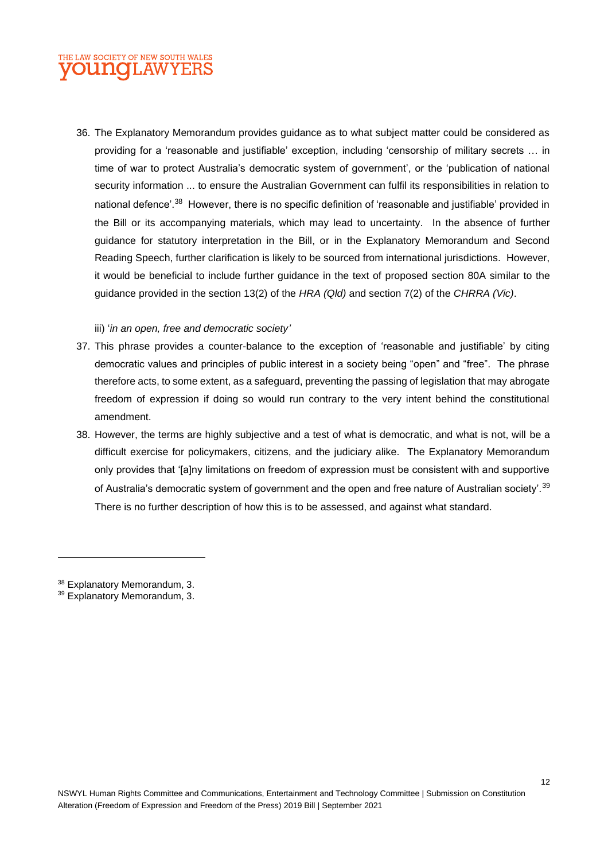### THE LAW SOCIETY OF NEW SOUTH WALES **VOUNGLAWYERS**

36. The Explanatory Memorandum provides guidance as to what subject matter could be considered as providing for a 'reasonable and justifiable' exception, including 'censorship of military secrets … in time of war to protect Australia's democratic system of government', or the 'publication of national security information ... to ensure the Australian Government can fulfil its responsibilities in relation to national defence'.<sup>38</sup> However, there is no specific definition of 'reasonable and justifiable' provided in the Bill or its accompanying materials, which may lead to uncertainty. In the absence of further guidance for statutory interpretation in the Bill, or in the Explanatory Memorandum and Second Reading Speech, further clarification is likely to be sourced from international jurisdictions. However, it would be beneficial to include further guidance in the text of proposed section 80A similar to the guidance provided in the section 13(2) of the *HRA (Qld)* and section 7(2) of the *CHRRA (Vic)*.

#### iii) '*in an open, free and democratic society'*

- 37. This phrase provides a counter-balance to the exception of 'reasonable and justifiable' by citing democratic values and principles of public interest in a society being "open" and "free". The phrase therefore acts, to some extent, as a safeguard, preventing the passing of legislation that may abrogate freedom of expression if doing so would run contrary to the very intent behind the constitutional amendment.
- 38. However, the terms are highly subjective and a test of what is democratic, and what is not, will be a difficult exercise for policymakers, citizens, and the judiciary alike. The Explanatory Memorandum only provides that '[a]ny limitations on freedom of expression must be consistent with and supportive of Australia's democratic system of government and the open and free nature of Australian society'. $^{\rm 39}$ There is no further description of how this is to be assessed, and against what standard.

<sup>38</sup> Explanatory Memorandum, 3.

<sup>39</sup> Explanatory Memorandum, 3.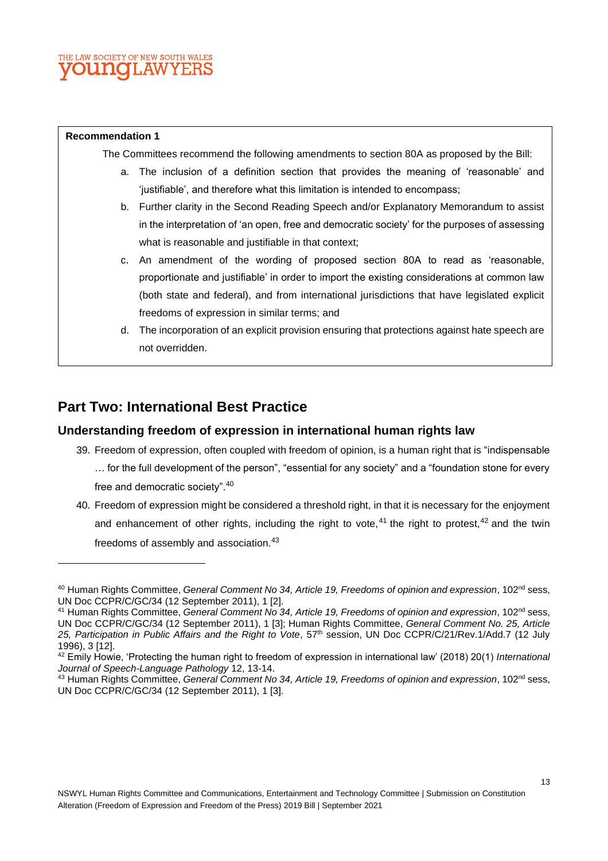#### **Recommendation 1**

The Committees recommend the following amendments to section 80A as proposed by the Bill:

- a. The inclusion of a definition section that provides the meaning of 'reasonable' and 'justifiable', and therefore what this limitation is intended to encompass;
- b. Further clarity in the Second Reading Speech and/or Explanatory Memorandum to assist in the interpretation of 'an open, free and democratic society' for the purposes of assessing what is reasonable and justifiable in that context;
- c. An amendment of the wording of proposed section 80A to read as 'reasonable, proportionate and justifiable' in order to import the existing considerations at common law (both state and federal), and from international jurisdictions that have legislated explicit freedoms of expression in similar terms; and
- d. The incorporation of an explicit provision ensuring that protections against hate speech are not overridden.

## **Part Two: International Best Practice**

#### **Understanding freedom of expression in international human rights law**

- 39. Freedom of expression, often coupled with freedom of opinion, is a human right that is "indispensable … for the full development of the person", "essential for any society" and a "foundation stone for every free and democratic society".<sup>40</sup>
- 40. Freedom of expression might be considered a threshold right, in that it is necessary for the enjoyment and enhancement of other rights, including the right to vote,<sup>41</sup> the right to protest,<sup>42</sup> and the twin freedoms of assembly and association.<sup>43</sup>

<sup>&</sup>lt;sup>40</sup> Human Rights Committee, *General Comment No 34, Article 19, Freedoms of opinion and expression*, 102<sup>nd</sup> sess, UN Doc CCPR/C/GC/34 (12 September 2011), 1 [2].

<sup>&</sup>lt;sup>41</sup> Human Rights Committee, *General Comment No 34, Article 19, Freedoms of opinion and expression*, 102<sup>nd</sup> sess, UN Doc CCPR/C/GC/34 (12 September 2011), 1 [3]; Human Rights Committee, *General Comment No. 25, Article*  25, Participation in Public Affairs and the Right to Vote, 57<sup>th</sup> session, UN Doc CCPR/C/21/Rev.1/Add.7 (12 July 1996), 3 [12].

<sup>42</sup> Emily Howie, 'Protecting the human right to freedom of expression in international law' (2018) 20(1) *International Journal of Speech-Language Pathology* 12, 13-14.

<sup>43</sup> Human Rights Committee, *General Comment No 34, Article 19, Freedoms of opinion and expression*, 102nd sess, UN Doc CCPR/C/GC/34 (12 September 2011), 1 [3].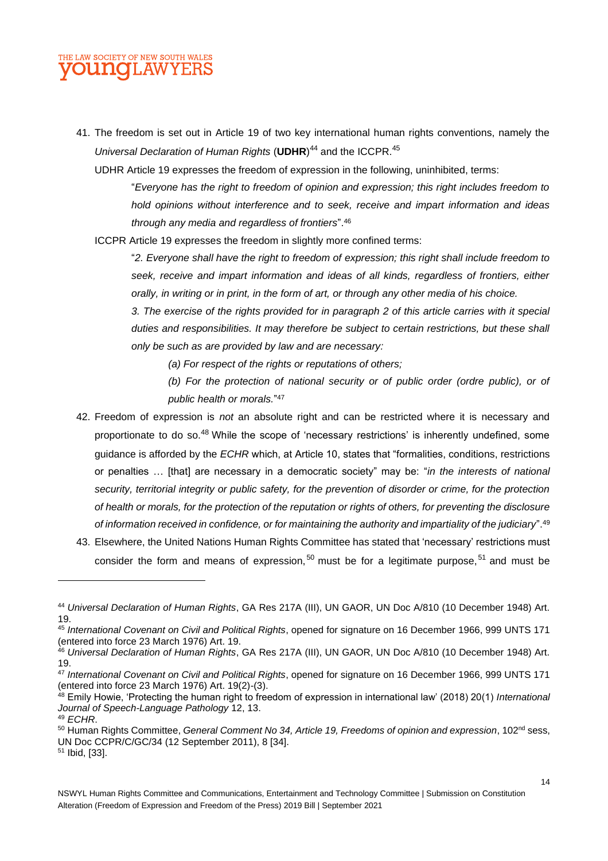

41. The freedom is set out in Article 19 of two key international human rights conventions, namely the *Universal Declaration of Human Rights* (**UDHR**) <sup>44</sup> and the ICCPR. 45

UDHR Article 19 expresses the freedom of expression in the following, uninhibited, terms:

"*Everyone has the right to freedom of opinion and expression; this right includes freedom to hold opinions without interference and to seek, receive and impart information and ideas through any media and regardless of frontiers*". 46

ICCPR Article 19 expresses the freedom in slightly more confined terms:

"*2. Everyone shall have the right to freedom of expression; this right shall include freedom to seek, receive and impart information and ideas of all kinds, regardless of frontiers, either orally, in writing or in print, in the form of art, or through any other media of his choice.*

*3. The exercise of the rights provided for in paragraph 2 of this article carries with it special duties and responsibilities. It may therefore be subject to certain restrictions, but these shall only be such as are provided by law and are necessary:*

*(a) For respect of the rights or reputations of others;*

*(b) For the protection of national security or of public order (ordre public), or of public health or morals.*" 47

- 42. Freedom of expression is *not* an absolute right and can be restricted where it is necessary and proportionate to do so.<sup>48</sup> While the scope of 'necessary restrictions' is inherently undefined, some guidance is afforded by the *ECHR* which, at Article 10, states that "formalities, conditions, restrictions or penalties … [that] are necessary in a democratic society" may be: "*in the interests of national security, territorial integrity or public safety, for the prevention of disorder or crime, for the protection of health or morals, for the protection of the reputation or rights of others, for preventing the disclosure of information received in confidence, or for maintaining the authority and impartiality of the judiciary*".<sup>49</sup>
- 43. Elsewhere, the United Nations Human Rights Committee has stated that 'necessary' restrictions must consider the form and means of expression,  $50$  must be for a legitimate purpose,  $51$  and must be

UN Doc CCPR/C/GC/34 (12 September 2011), 8 [34].

<sup>44</sup> *Universal Declaration of Human Rights*, GA Res 217A (III), UN GAOR, UN Doc A/810 (10 December 1948) Art. 19.

<sup>45</sup> *International Covenant on Civil and Political Rights*, opened for signature on 16 December 1966, 999 UNTS 171 (entered into force 23 March 1976) Art. 19.

<sup>46</sup> *Universal Declaration of Human Rights*, GA Res 217A (III), UN GAOR, UN Doc A/810 (10 December 1948) Art. 19.

<sup>47</sup> *International Covenant on Civil and Political Rights*, opened for signature on 16 December 1966, 999 UNTS 171 (entered into force 23 March 1976) Art. 19(2)-(3).

<sup>48</sup> Emily Howie, 'Protecting the human right to freedom of expression in international law' (2018) 20(1) *International Journal of Speech-Language Pathology* 12, 13. <sup>49</sup> *ECHR*.

<sup>&</sup>lt;sup>50</sup> Human Rights Committee, *General Comment No 34, Article 19, Freedoms of opinion and expression*, 102<sup>nd</sup> sess,

<sup>51</sup> Ibid, [33].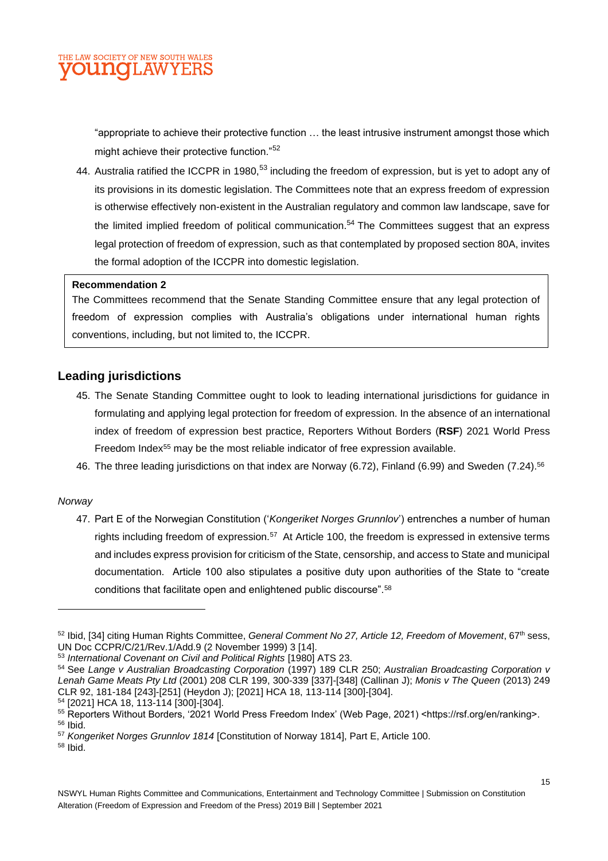

"appropriate to achieve their protective function … the least intrusive instrument amongst those which might achieve their protective function."<sup>52</sup>

44. Australia ratified the ICCPR in 1980,<sup>53</sup> including the freedom of expression, but is yet to adopt any of its provisions in its domestic legislation. The Committees note that an express freedom of expression is otherwise effectively non-existent in the Australian regulatory and common law landscape, save for the limited implied freedom of political communication.<sup>54</sup> The Committees suggest that an express legal protection of freedom of expression, such as that contemplated by proposed section 80A, invites the formal adoption of the ICCPR into domestic legislation.

#### **Recommendation 2**

The Committees recommend that the Senate Standing Committee ensure that any legal protection of freedom of expression complies with Australia's obligations under international human rights conventions, including, but not limited to, the ICCPR.

#### **Leading jurisdictions**

- 45. The Senate Standing Committee ought to look to leading international jurisdictions for guidance in formulating and applying legal protection for freedom of expression. In the absence of an international index of freedom of expression best practice, Reporters Without Borders (**RSF**) 2021 World Press Freedom Index<sup>55</sup> may be the most reliable indicator of free expression available.
- 46. The three leading jurisdictions on that index are Norway (6.72), Finland (6.99) and Sweden (7.24).<sup>56</sup>

#### *Norway*

47. Part E of the Norwegian Constitution ('*Kongeriket Norges Grunnlov*') entrenches a number of human rights including freedom of expression.<sup>57</sup> At Article 100, the freedom is expressed in extensive terms and includes express provision for criticism of the State, censorship, and access to State and municipal documentation. Article 100 also stipulates a positive duty upon authorities of the State to "create conditions that facilitate open and enlightened public discourse".<sup>58</sup>

<sup>52</sup> Ibid, [34] citing Human Rights Committee, *General Comment No 27, Article 12, Freedom of Movement*, 67th sess, UN Doc CCPR/C/21/Rev.1/Add.9 (2 November 1999) 3 [14].

<sup>53</sup> *International Covenant on Civil and Political Rights* [1980] ATS 23.

<sup>54</sup> See *Lange v Australian Broadcasting Corporation* (1997) 189 CLR 250; *Australian Broadcasting Corporation v Lenah Game Meats Pty Ltd* (2001) 208 CLR 199, 300-339 [337]-[348] (Callinan J); *Monis v The Queen* (2013) 249 CLR 92, 181-184 [243]-[251] (Heydon J); [2021] HCA 18, 113-114 [300]-[304].

<sup>54</sup> [2021] HCA 18, 113-114 [300]-[304].

<sup>55</sup> Reporters Without Borders, '2021 World Press Freedom Index' (Web Page, 2021) <https://rsf.org/en/ranking>. <sup>56</sup> Ibid.

<sup>57</sup> *Kongeriket Norges Grunnlov 1814* [Constitution of Norway 1814], Part E, Article 100.

<sup>58</sup> Ibid.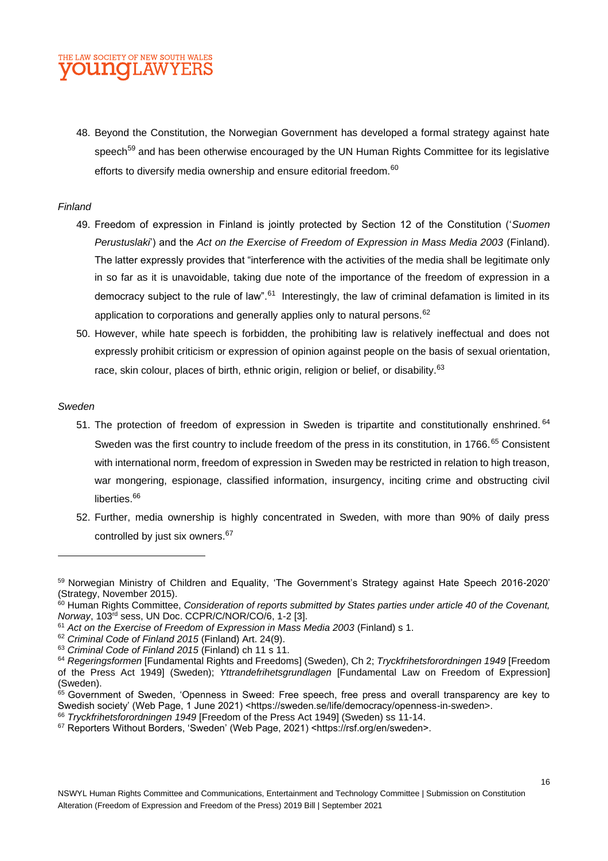#### THE LAW SOCIETY OF NEW SOUTH WALES **OUNOLAWYERS**

48. Beyond the Constitution, the Norwegian Government has developed a formal strategy against hate speech<sup>59</sup> and has been otherwise encouraged by the UN Human Rights Committee for its legislative efforts to diversify media ownership and ensure editorial freedom.<sup>60</sup>

#### *Finland*

- 49. Freedom of expression in Finland is jointly protected by Section 12 of the Constitution ('*Suomen Perustuslaki*') and the *Act on the Exercise of Freedom of Expression in Mass Media 2003* (Finland). The latter expressly provides that "interference with the activities of the media shall be legitimate only in so far as it is unavoidable, taking due note of the importance of the freedom of expression in a democracy subject to the rule of law".<sup>61</sup> Interestingly, the law of criminal defamation is limited in its application to corporations and generally applies only to natural persons.<sup>62</sup>
- 50. However, while hate speech is forbidden, the prohibiting law is relatively ineffectual and does not expressly prohibit criticism or expression of opinion against people on the basis of sexual orientation, race, skin colour, places of birth, ethnic origin, religion or belief, or disability.<sup>63</sup>

#### *Sweden*

- 51. The protection of freedom of expression in Sweden is tripartite and constitutionally enshrined. <sup>64</sup> Sweden was the first country to include freedom of the press in its constitution, in 1766.<sup>65</sup> Consistent with international norm, freedom of expression in Sweden may be restricted in relation to high treason, war mongering, espionage, classified information, insurgency, inciting crime and obstructing civil liberties.<sup>66</sup>
- 52. Further, media ownership is highly concentrated in Sweden, with more than 90% of daily press controlled by just six owners.<sup>67</sup>

<sup>&</sup>lt;sup>59</sup> Norwegian Ministry of Children and Equality, 'The Government's Strategy against Hate Speech 2016-2020' (Strategy, November 2015).

<sup>&</sup>lt;sup>60</sup> Human Rights Committee, *Consideration of reports submitted by States parties under article 40 of the Covenant, Norway*, 103rd sess, UN Doc. CCPR/C/NOR/CO/6, 1-2 [3].

<sup>61</sup> *Act on the Exercise of Freedom of Expression in Mass Media 2003* (Finland) s 1.

<sup>62</sup> *Criminal Code of Finland 2015* (Finland) Art. 24(9).

<sup>63</sup> *Criminal Code of Finland 2015* (Finland) ch 11 s 11.

<sup>64</sup> *Regeringsformen* [Fundamental Rights and Freedoms] (Sweden), Ch 2; *Tryckfrihetsforordningen 1949* [Freedom of the Press Act 1949] (Sweden); *Yttrandefrihetsgrundlagen* [Fundamental Law on Freedom of Expression] (Sweden).

<sup>&</sup>lt;sup>65</sup> Government of Sweden, 'Openness in Sweed: Free speech, free press and overall transparency are key to Swedish society' (Web Page, 1 June 2021) <https://sweden.se/life/democracy/openness-in-sweden>.

<sup>66</sup> *Tryckfrihetsforordningen 1949* [Freedom of the Press Act 1949] (Sweden) ss 11-14.

<sup>67</sup> Reporters Without Borders, 'Sweden' (Web Page, 2021) <https://rsf.org/en/sweden>.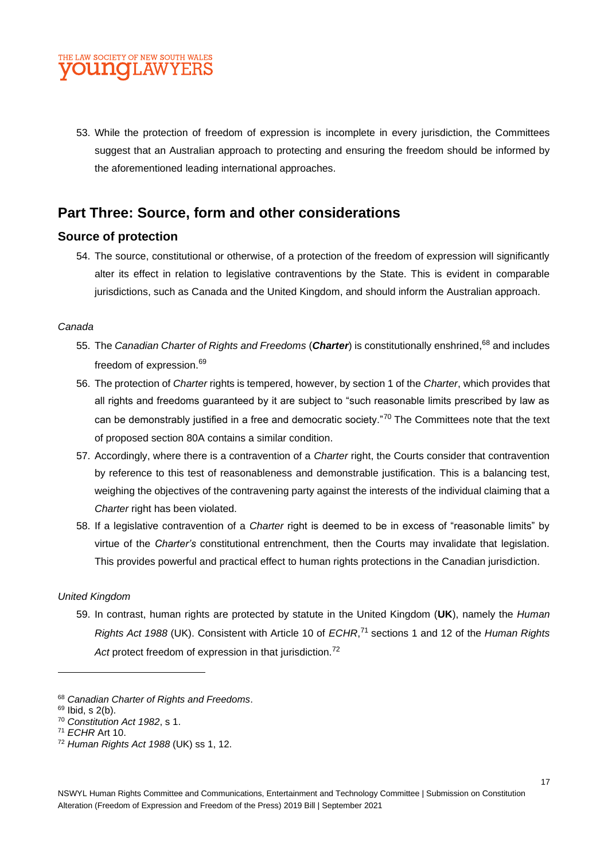

53. While the protection of freedom of expression is incomplete in every jurisdiction, the Committees suggest that an Australian approach to protecting and ensuring the freedom should be informed by the aforementioned leading international approaches.

### **Part Three: Source, form and other considerations**

#### **Source of protection**

54. The source, constitutional or otherwise, of a protection of the freedom of expression will significantly alter its effect in relation to legislative contraventions by the State. This is evident in comparable jurisdictions, such as Canada and the United Kingdom, and should inform the Australian approach.

#### *Canada*

- 55. The *Canadian Charter of Rights and Freedoms* (*Charter*) is constitutionally enshrined, <sup>68</sup> and includes freedom of expression.<sup>69</sup>
- 56. The protection of *Charter* rights is tempered, however, by section 1 of the *Charter*, which provides that all rights and freedoms guaranteed by it are subject to "such reasonable limits prescribed by law as can be demonstrably justified in a free and democratic society."<sup>70</sup> The Committees note that the text of proposed section 80A contains a similar condition.
- 57. Accordingly, where there is a contravention of a *Charter* right, the Courts consider that contravention by reference to this test of reasonableness and demonstrable justification. This is a balancing test, weighing the objectives of the contravening party against the interests of the individual claiming that a *Charter* right has been violated.
- 58. If a legislative contravention of a *Charter* right is deemed to be in excess of "reasonable limits" by virtue of the *Charter's* constitutional entrenchment, then the Courts may invalidate that legislation. This provides powerful and practical effect to human rights protections in the Canadian jurisdiction.

#### *United Kingdom*

59. In contrast, human rights are protected by statute in the United Kingdom (**UK**), namely the *Human Rights Act 1988* (UK). Consistent with Article 10 of *ECHR*, <sup>71</sup> sections 1 and 12 of the *Human Rights*  Act protect freedom of expression in that jurisdiction.<sup>72</sup>

<sup>68</sup> *Canadian Charter of Rights and Freedoms*.

<sup>69</sup> Ibid, s 2(b).

<sup>70</sup> *Constitution Act 1982*, s 1.

<sup>71</sup> *ECHR* Art 10.

<sup>72</sup> *Human Rights Act 1988* (UK) ss 1, 12.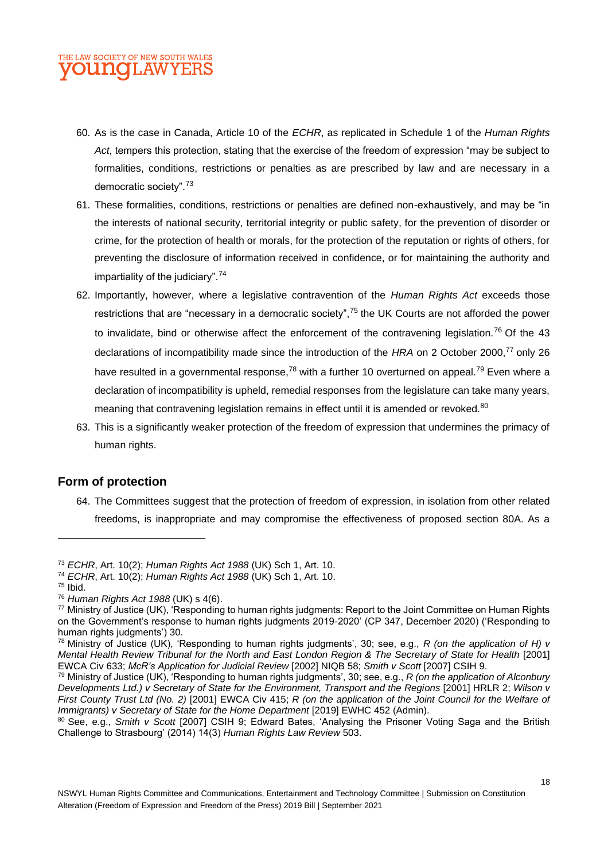- 60. As is the case in Canada, Article 10 of the *ECHR*, as replicated in Schedule 1 of the *Human Rights Act*, tempers this protection, stating that the exercise of the freedom of expression "may be subject to formalities, conditions, restrictions or penalties as are prescribed by law and are necessary in a democratic society".<sup>73</sup>
- 61. These formalities, conditions, restrictions or penalties are defined non-exhaustively, and may be "in the interests of national security, territorial integrity or public safety, for the prevention of disorder or crime, for the protection of health or morals, for the protection of the reputation or rights of others, for preventing the disclosure of information received in confidence, or for maintaining the authority and impartiality of the judiciary".<sup>74</sup>
- 62. Importantly, however, where a legislative contravention of the *Human Rights Act* exceeds those restrictions that are "necessary in a democratic society",<sup>75</sup> the UK Courts are not afforded the power to invalidate, bind or otherwise affect the enforcement of the contravening legislation.<sup>76</sup> Of the 43 declarations of incompatibility made since the introduction of the HRA on 2 October 2000,<sup>77</sup> only 26 have resulted in a governmental response,<sup>78</sup> with a further 10 overturned on appeal.<sup>79</sup> Even where a declaration of incompatibility is upheld, remedial responses from the legislature can take many years, meaning that contravening legislation remains in effect until it is amended or revoked.<sup>80</sup>
- 63. This is a significantly weaker protection of the freedom of expression that undermines the primacy of human rights.

#### **Form of protection**

64. The Committees suggest that the protection of freedom of expression, in isolation from other related freedoms, is inappropriate and may compromise the effectiveness of proposed section 80A. As a

<sup>75</sup> Ibid.

<sup>73</sup> *ECHR*, Art. 10(2); *Human Rights Act 1988* (UK) Sch 1, Art. 10.

<sup>74</sup> *ECHR*, Art. 10(2); *Human Rights Act 1988* (UK) Sch 1, Art. 10.

<sup>76</sup> *Human Rights Act 1988* (UK) s 4(6).

<sup>&</sup>lt;sup>77</sup> Ministry of Justice (UK), 'Responding to human rights judgments: Report to the Joint Committee on Human Rights on the Government's response to human rights judgments 2019-2020' (CP 347, December 2020) ('Responding to human rights judgments') 30.

<sup>78</sup> Ministry of Justice (UK), 'Responding to human rights judgments', 30; see, e.g., *R (on the application of H) v Mental Health Review Tribunal for the North and East London Region & The Secretary of State for Health* [2001] EWCA Civ 633; *McR's Application for Judicial Review* [2002] NIQB 58; *Smith v Scott* [2007] CSIH 9.

<sup>79</sup> Ministry of Justice (UK), 'Responding to human rights judgments', 30; see, e.g., *R (on the application of Alconbury Developments Ltd.) v Secretary of State for the Environment, Transport and the Regions* [2001] HRLR 2; *Wilson v First County Trust Ltd (No. 2)* [2001] EWCA Civ 415; *R (on the application of the Joint Council for the Welfare of Immigrants) v Secretary of State for the Home Department* [2019] EWHC 452 (Admin).

<sup>80</sup> See, e.g., *Smith v Scott* [2007] CSIH 9; Edward Bates, 'Analysing the Prisoner Voting Saga and the British Challenge to Strasbourg' (2014) 14(3) *Human Rights Law Review* 503.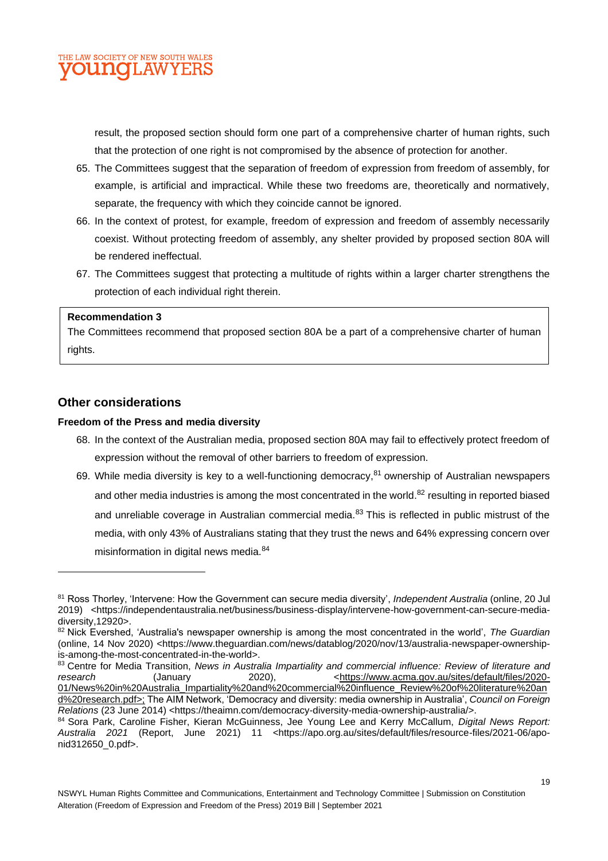

result, the proposed section should form one part of a comprehensive charter of human rights, such that the protection of one right is not compromised by the absence of protection for another.

- 65. The Committees suggest that the separation of freedom of expression from freedom of assembly, for example, is artificial and impractical. While these two freedoms are, theoretically and normatively, separate, the frequency with which they coincide cannot be ignored.
- 66. In the context of protest, for example, freedom of expression and freedom of assembly necessarily coexist. Without protecting freedom of assembly, any shelter provided by proposed section 80A will be rendered ineffectual.
- 67. The Committees suggest that protecting a multitude of rights within a larger charter strengthens the protection of each individual right therein.

#### **Recommendation 3**

The Committees recommend that proposed section 80A be a part of a comprehensive charter of human rights.

#### **Other considerations**

#### **Freedom of the Press and media diversity**

- 68. In the context of the Australian media, proposed section 80A may fail to effectively protect freedom of expression without the removal of other barriers to freedom of expression.
- 69. While media diversity is key to a well-functioning democracy,  $81$  ownership of Australian newspapers and other media industries is among the most concentrated in the world.<sup>82</sup> resulting in reported biased and unreliable coverage in Australian commercial media.<sup>83</sup> This is reflected in public mistrust of the media, with only 43% of Australians stating that they trust the news and 64% expressing concern over misinformation in digital news media.<sup>84</sup>

<sup>81</sup> Ross Thorley, 'Intervene: How the Government can secure media diversity', *Independent Australia* (online, 20 Jul 2019) <https://independentaustralia.net/business/business-display/intervene-how-government-can-secure-mediadiversity,12920>.

<sup>82</sup> Nick Evershed, 'Australia's newspaper ownership is among the most concentrated in the world', *The Guardian* (online, 14 Nov 2020) <https://www.theguardian.com/news/datablog/2020/nov/13/australia-newspaper-ownershipis-among-the-most-concentrated-in-the-world>.

<sup>83</sup> Centre for Media Transition, *News in Australia Impartiality and commercial influence: Review of literature and* research (January 2020), <https://www.acma.gov.au/sites/default/files/2020-01/News%20in%20Australia\_Impartiality%20and%20commercial%20influence\_Review%20of%20literature%20an d%20research.pdf>; The AIM Network, 'Democracy and diversity: media ownership in Australia', *Council on Foreign Relations* (23 June 2014) <https://theaimn.com/democracy-diversity-media-ownership-australia/>.

<sup>84</sup> Sora Park, Caroline Fisher, Kieran McGuinness, Jee Young Lee and Kerry McCallum, *Digital News Report: Australia 2021* (Report, June 2021) 11 <https://apo.org.au/sites/default/files/resource-files/2021-06/aponid312650\_0.pdf>.